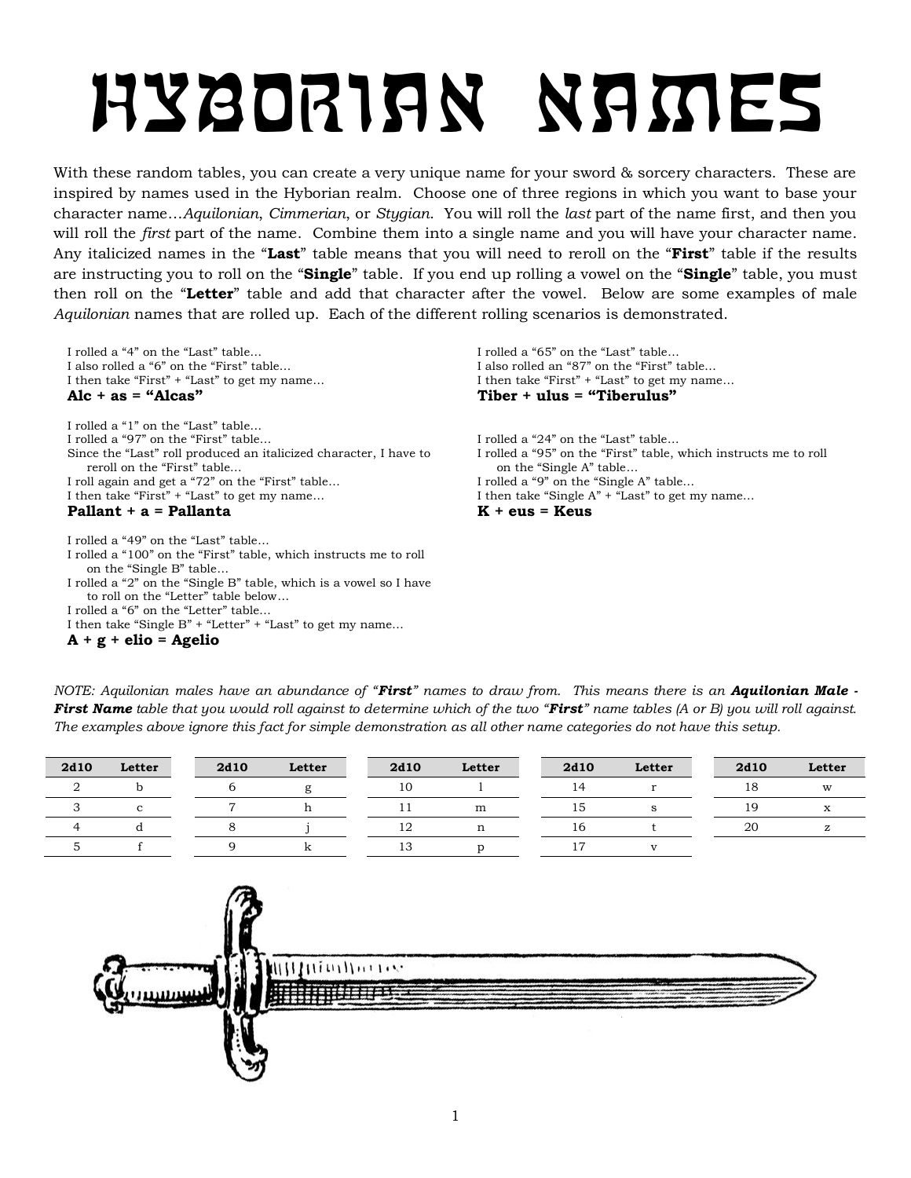# Hyborian Names

With these random tables, you can create a very unique name for your sword & sorcery characters. These are inspired by names used in the Hyborian realm. Choose one of three regions in which you want to base your character name…*Aquilonian*, *Cimmerian*, or *Stygian*. You will roll the *last* part of the name first, and then you will roll the *first* part of the name. Combine them into a single name and you will have your character name. Any italicized names in the "**Last**" table means that you will need to reroll on the "**First**" table if the results are instructing you to roll on the "**Single**" table. If you end up rolling a vowel on the "**Single**" table, you must then roll on the "**Letter**" table and add that character after the vowel. Below are some examples of male *Aquilonian* names that are rolled up. Each of the different rolling scenarios is demonstrated.

I rolled a "4" on the "Last" table… I also rolled a "6" on the "First" table… I then take "First" + "Last" to get my name...<br>Alc + as = "Alcas"

I rolled a "1" on the "Last" table… I rolled a "97" on the "First" table… Since the "Last" roll produced an italicized character, I have to reroll on the "First" table… I roll again and get a "72" on the "First" table… I then take "First" + "Last" to get my name…

#### **Pallant + a = Pallanta K + eus = Keus**

I rolled a "49" on the "Last" table…

I rolled a "100" on the "First" table, which instructs me to roll on the "Single B" table…

I rolled a "2" on the "Single B" table, which is a vowel so I have to roll on the "Letter" table below…

I rolled a "6" on the "Letter" table…

I then take "Single B" + "Letter" + "Last" to get my name…

**A + g + elio = Agelio**

I rolled a "65" on the "Last" table… I also rolled an "87" on the "First" table… I then take "First" + "Last" to get my name… Tiber + ulus = "Tiberulus"

I rolled a "24" on the "Last" table… I rolled a "95" on the "First" table, which instructs me to roll on the "Single A" table… I rolled a "9" on the "Single A" table… I then take "Single A" + "Last" to get my name…

*NOTE: Aquilonian males have an abundance of "First" names to draw from. This means there is an Aquilonian Male - First Name table that you would roll against to determine which of the two "First" name tables (A or B) you will roll against. The examples above ignore this fact for simple demonstration as all other name categories do not have this setup.*

| 2d10 | Letter | 2d10 | Letter | 2d10 | Letter | 2d10 | Letter | 2d10 | Letter |
|------|--------|------|--------|------|--------|------|--------|------|--------|
|      |        |      |        | 10   |        |      |        | 18   | W      |
|      |        |      |        |      | m      | 15   |        | 19   |        |
|      |        |      |        | ∸    |        | 16   |        | 20   |        |
|      |        |      |        | ⊥ ∪  |        |      |        |      |        |

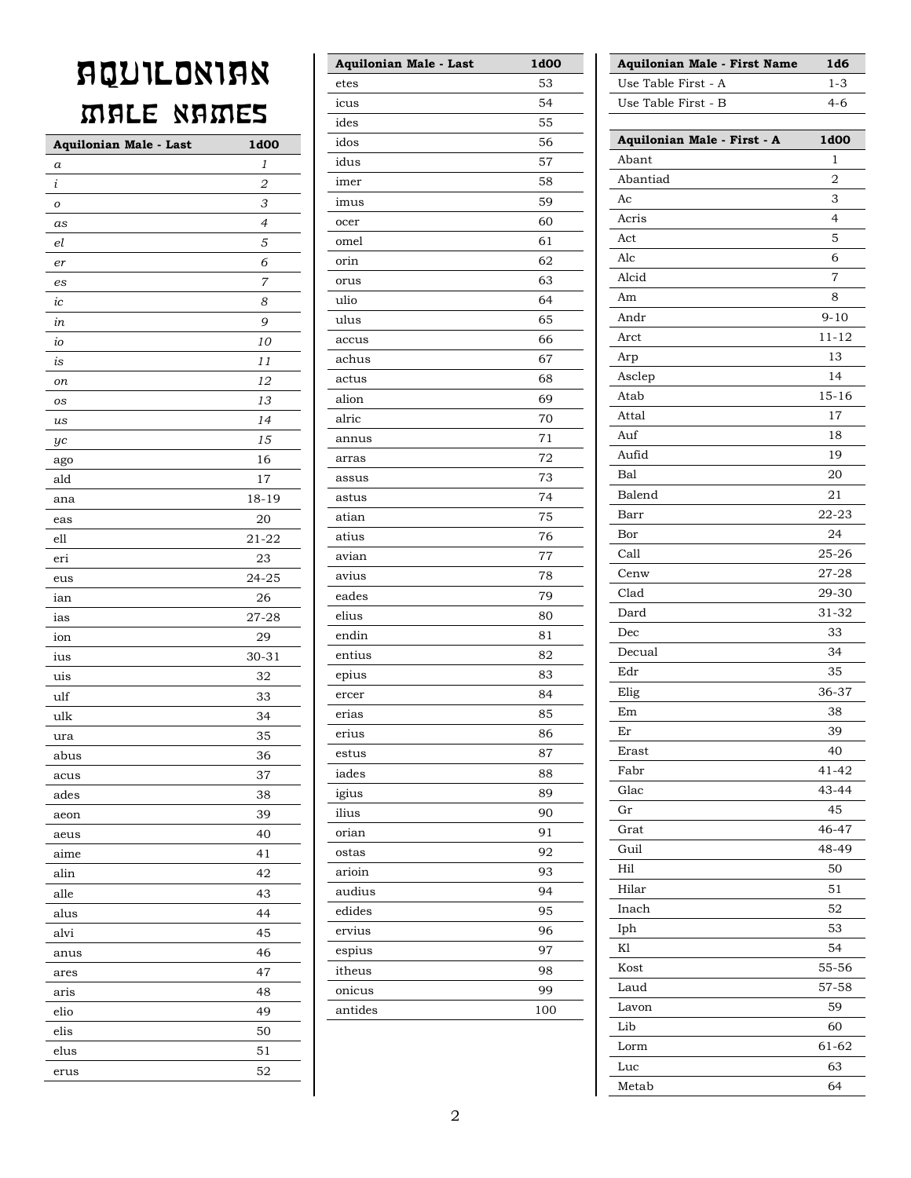### **AQUILONIAN** MALE NAMES

| Aquilonian Male - Last | 1d00      |
|------------------------|-----------|
| a                      | 1         |
| $\dot{\iota}$          | 2         |
| 0                      | 3         |
| as                     | 4         |
| el                     | 5         |
| er                     | 6         |
| es                     | 7         |
| ic                     | 8         |
| in                     | 9         |
| io                     | 10        |
| is                     | 11        |
| on                     | 12        |
| os                     | 13        |
| us                     | 14        |
| yc                     | 15        |
| ago                    | 16        |
| ald                    | 17        |
| ana                    | $18 - 19$ |
| eas                    | 20        |
| ell                    | 21-22     |
| eri                    | 23        |
| eus                    | 24-25     |
| ian                    | 26        |
| ias                    | 27-28     |
| ion                    | 29        |
| ius                    | $30 - 31$ |
| uis                    | 32        |
| ulf                    | 33        |
| ulk                    | 34        |
| ura                    | 35        |
| abus                   | 36        |
| acus                   | 37        |
| ades                   | 38        |
| aeon                   | 39        |
| aeus                   | 40        |
| aime                   | 41        |
| alin                   | 42        |
| alle                   | 43        |
| alus                   | 44        |
| alvi                   | 45        |
| anus                   | 46        |
| ares                   | 47        |
| aris                   | 48        |
| elio                   | 49        |
| elis                   | 50        |
| elus                   | 51        |
| erus                   | 52        |

| Aquilonian Male - Last | 1d00 |
|------------------------|------|
| etes                   | 53   |
| icus                   | 54   |
| ides                   | 55   |
| idos                   | 56   |
| idus                   | 57   |
| imer                   | 58   |
| imus                   | 59   |
| ocer                   | 60   |
| omel                   | 61   |
| orin                   | 62   |
| orus                   | 63   |
| ulio                   | 64   |
| ulus                   | 65   |
| accus                  | 66   |
| achus                  | 67   |
| actus                  | 68   |
| alion                  | 69   |
| alric                  | 70   |
| annus                  | 71   |
| arras                  | 72   |
| assus                  | 73   |
| astus                  | 74   |
| atian                  | 75   |
| atius                  | 76   |
| avian                  | 77   |
| avius                  | 78   |
| eades                  | 79   |
| elius                  | 80   |
| endin                  | 81   |
| entius                 | 82   |
| epius                  | 83   |
| ercer                  | 84   |
| erias                  | 85   |
| erius                  | 86   |
| estus                  | 87   |
| iades                  | 88   |
| igius                  | 89   |
| ilius                  | 90   |
| orian                  | 91   |
| ostas                  | 92   |
| arioin                 | 93   |
| audius                 | 94   |
| edides                 | 95   |
| ervius                 | 96   |
| espius                 | 97   |
| itheus                 | 98   |
| onicus                 | 99   |
| antides                | 100  |
|                        |      |

| Aquilonian Male - First Name | 1d6            |
|------------------------------|----------------|
| Use Table First - A          | $1 - 3$        |
| Use Table First - B          | $4 - 6$        |
|                              |                |
| Aquilonian Male - First - A  | 1d00           |
| Abant                        | 1              |
| Abantiad                     | 2              |
| Ac                           | 3              |
| Acris                        | $\overline{4}$ |
| Act                          | 5              |
| Alc                          | 6              |
| Alcid                        | $\overline{7}$ |
| Am                           | 8              |
| Andr                         | $9 - 10$       |
| Arct                         | $11 - 12$      |
| Arp                          | 13             |
| Asclep                       | 14             |
| Atab                         | $15 - 16$      |
| Attal                        | 17             |
| Auf                          | 18             |
| Aufid                        | 19             |
| Bal                          | 20             |
| Balend                       | 21             |
| Barr                         | 22-23          |
| Bor                          | 24             |
| Call                         | $25 - 26$      |
| Cenw                         | 27-28          |
| Clad                         | 29-30          |
| Dard                         | 31-32          |
| Dec                          | 33             |
| Decual                       | 34             |
| Edr                          | 35             |
| Elig                         | 36-37          |
| Em                           | 38             |
| Er                           | 39             |
| Erast                        | 40             |
| Fabr                         | $41 - 42$      |
| Glac                         | 43-44          |
| Gr                           | 45             |
| Grat                         | 46-47          |
| Guil                         | 48-49          |
| Hil                          | 50             |
| Hilar                        | 51             |
| Inach                        | 52             |
| Iph                          | 53             |
| K1                           | 54             |
| Kost                         | 55-56          |
| Laud                         | 57-58          |
| Lavon                        | 59             |
| Lib                          | 60             |
| Lorm                         | 61-62          |
| Luc                          | 63             |
| Metab                        | 64             |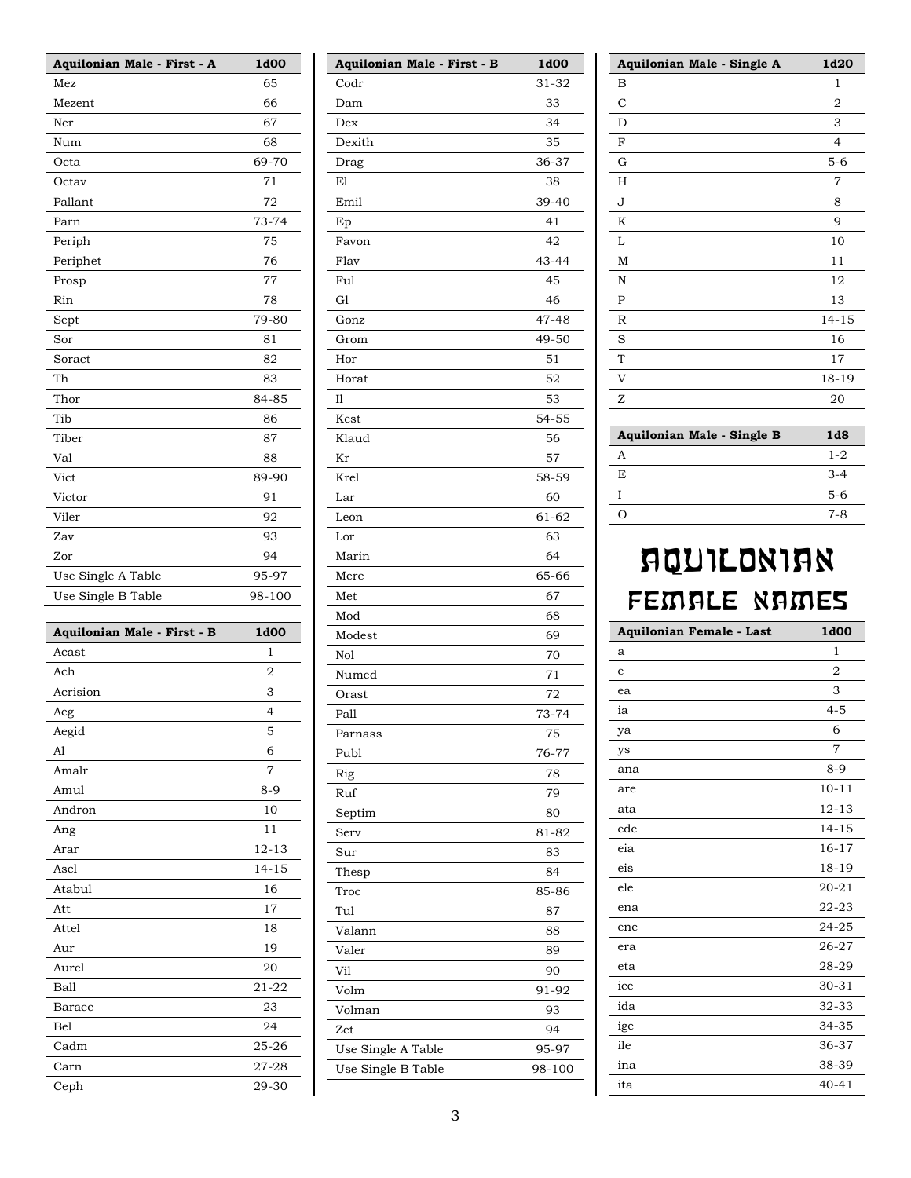| Aquilonian Male - First - A | 1d00           |
|-----------------------------|----------------|
| Mez                         | 65             |
| Mezent                      | 66             |
| Ner                         | 67             |
| Num                         | 68             |
| Octa                        | 69-70          |
| Octav                       | 71             |
| Pallant                     | 72             |
| Parn                        | 73-74          |
| Periph                      | 75             |
| Periphet                    | 76             |
| Prosp                       | 77             |
| Rin                         | 78             |
| Sept                        | 79-80          |
| Sor                         | 81             |
| Soract                      | 82             |
| Th                          | 83             |
| Thor                        | 84-85          |
| Tib                         | 86             |
| Tiber                       | 87             |
| Val                         | 88             |
| Vict                        | 89-90          |
| Victor                      | 91             |
| Viler                       | 92             |
| Zav                         | 93             |
| Zor                         | 94             |
| Use Single A Table          | 95-97          |
| Use Single B Table          | 98-100         |
|                             |                |
|                             |                |
| Aquilonian Male - First - B | 1d00           |
| Acast                       | 1              |
| Ach                         | 2              |
| Acrision                    | 3              |
| Aeg                         | 4              |
| Aegid                       | 5              |
| Al                          | 6              |
| Amalr                       | 7              |
| Amul                        | $8 - 9$        |
| Andron                      | 10             |
|                             | 11             |
| Ang                         |                |
| Arar                        | $12 - 13$      |
| Ascl                        | $14 - 15$      |
| Atabul                      | 16<br>17       |
| Att                         |                |
| Attel                       | 18             |
| Aur                         | 19             |
| Aurel                       | 20             |
| <b>Ball</b>                 | 21-22          |
| Baracc                      | 23             |
| Bel                         | 24             |
| Cadm                        | 25-26          |
| Carn<br>Ceph                | 27-28<br>29-30 |

| Aquilonian Male - First - B | 1d00   |
|-----------------------------|--------|
| Codr                        | 31-32  |
| Dam                         | 33     |
| $_{\rm{Dex}}$               | 34     |
| Dexith                      | 35     |
| Drag                        | 36-37  |
| E1                          | 38     |
| Emil                        | 39-40  |
| Ep                          | 41     |
| Favon                       | 42     |
| Flav                        | 43-44  |
| Ful                         | 45     |
| G1                          | 46     |
| Gonz                        | 47-48  |
| Grom                        | 49-50  |
| Hor                         | 51     |
| Horat                       | 52     |
| 11                          | 53     |
| Kest                        | 54-55  |
| Klaud                       | 56     |
|                             | 57     |
| Kr                          |        |
| Krel                        | 58-59  |
| Lar                         | 60     |
| Leon                        | 61-62  |
| Lor                         | 63     |
| Marin                       | 64     |
| Merc                        | 65-66  |
| Met                         | 67     |
| Mod                         | 68     |
| Modest                      | 69     |
| Nol                         | 70     |
| Numed                       | 71     |
| Orast                       | 72     |
| Pall                        | 73-74  |
| Parnass                     | 75     |
| Publ                        | 76-77  |
| Rig                         | 78     |
| Ruf                         | 79     |
| Septim                      | 80     |
| Serv                        | 81-82  |
| Sur                         | 83     |
| Thesp                       | 84     |
| Troc                        | 85-86  |
| Tul                         | 87     |
| Valann                      | 88     |
| Valer                       | 89     |
| Vil                         | 90     |
| Volm                        | 91-92  |
| Volman                      | 93     |
| Zet                         | 94     |
| Use Single A Table          | 95-97  |
| Use Single B Table          | 98-100 |
|                             |        |

| Aquilonian Male - Single A | 1d20      |
|----------------------------|-----------|
| в                          | 1         |
| С                          | 2         |
| D                          | 3         |
| F                          | 4         |
| G                          | $5 - 6$   |
| H                          | 7         |
| J                          | 8         |
| K                          | 9         |
| L                          | 10        |
| M                          | 11        |
| N                          | 12        |
| P                          | 13        |
| $\mathbb R$                | $14 - 15$ |
| S                          | 16        |
| T                          | 17        |
| V                          | 18-19     |
| Z                          | 20        |
|                            |           |
| Aquilonian Male - Single B | 1d8       |

| Aquilonian Male - Single B | 1d8     |
|----------------------------|---------|
|                            | $1 - 2$ |
| F.                         | $3-4$   |
|                            | $5-6$   |
|                            | $7 - 8$ |

#### **AQUILONIAN** FEMALE NAMES

| Aquilonian Female - Last | 1d00      |
|--------------------------|-----------|
| a                        | 1         |
| e                        | 2         |
| ea                       | 3         |
| ia                       | $4 - 5$   |
| ya                       | 6         |
| ys                       | 7         |
| ana                      | $8 - 9$   |
| are                      | $10 - 11$ |
| ata                      | $12 - 13$ |
| ede                      | $14 - 15$ |
| eia                      | $16 - 17$ |
| eis                      | 18-19     |
| ele                      | $20 - 21$ |
| ena                      | $22 - 23$ |
| ene                      | 24-25     |
| era                      | 26-27     |
| eta                      | 28-29     |
| ice                      | $30 - 31$ |
| ida                      | 32-33     |
| ige                      | 34-35     |
| ile                      | 36-37     |
| ina                      | 38-39     |
| ita                      | $40 - 41$ |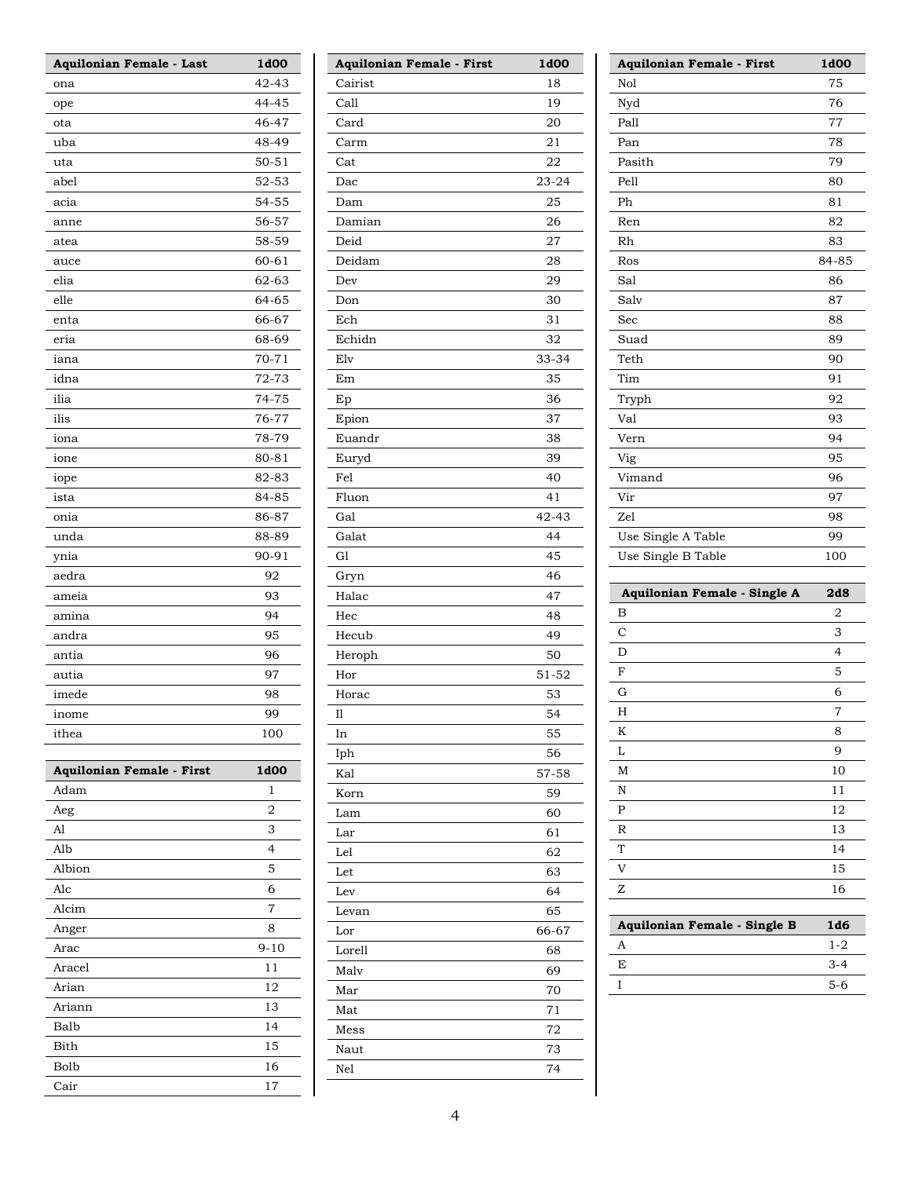| Aquilonian Female - Last         | 1d00      |
|----------------------------------|-----------|
| ona                              | $42 - 43$ |
| ope                              | 44-45     |
| ota                              | 46-47     |
| uba                              | 48-49     |
| uta                              | $50 - 51$ |
| abel                             | $52 - 53$ |
| acia                             | $54 - 55$ |
| anne                             | 56-57     |
| atea                             | 58-59     |
| auce                             | 60-61     |
| elia                             | 62-63     |
| elle                             | 64-65     |
| enta                             | 66-67     |
| eria                             | 68-69     |
| iana                             | $70 - 71$ |
| idna                             | 72-73     |
| ilia                             | 74-75     |
| ilis                             | 76-77     |
| iona                             | 78-79     |
| ione                             | 80-81     |
| iope                             | 82-83     |
| ista                             | 84-85     |
| onia                             | 86-87     |
| unda                             | 88-89     |
| ynia                             | $90 - 91$ |
| aedra                            | 92        |
| ameia                            | 93        |
| amina                            | 94        |
| andra                            | 95        |
| antia                            | 96        |
| autia                            | 97        |
| imede                            | 98        |
| inome                            | 99        |
| ithea                            | 100       |
|                                  |           |
| <b>Aquilonian Female - First</b> | 1d00      |
| Adam                             | 1         |
| Aeg                              | 2         |
| Al                               | 3         |
| Alb                              | 4         |
| Albion                           | 5         |
| Alc                              | 6         |
| Alcim                            | 7         |
| Anger                            | 8         |
| Arac                             | $9 - 10$  |
| Aracel                           | 11        |
| Arian                            | 12        |
| Ariann                           | 13        |
| Balb                             | 14        |
| Bith                             | 15        |
| Bolb                             | 16        |
| Cair                             | 17        |

| <b>Aquilonian Female - First</b> | 1d00  |
|----------------------------------|-------|
| Cairist                          | 18    |
| Call                             | 19    |
| Card                             | 20    |
| Carm                             | 21    |
| Cat                              | 22    |
| Dac                              | 23-24 |
| Dam                              | 25    |
| Damian                           | 26    |
| Deid                             | 27    |
| Deidam                           | 28    |
| Dev                              | 29    |
| Don                              | 30    |
| Ech                              | 31    |
| Echidn                           | 32    |
| Elv                              | 33-34 |
| Em                               | 35    |
| Ep                               | 36    |
| Epion                            | 37    |
| Euandr                           | 38    |
| Euryd                            | 39    |
| Fel                              | 40    |
| Fluon                            | 41    |
| Gal                              | 42-43 |
| Galat                            |       |
|                                  | 44    |
| G <sub>1</sub>                   | 45    |
| Gryn                             | 46    |
| Halac                            | 47    |
| Hec                              | 48    |
| Hecub                            | 49    |
| Heroph                           | 50    |
| Hor                              | 51-52 |
| Horac                            | 53    |
| $_{\rm II}$                      | 54    |
| In                               | 55    |
| Iph                              | 56    |
| Kal                              | 57-58 |
| Korn                             | 59    |
| Lam                              | 60    |
| Lar                              | 61    |
| Lel                              | 62    |
| Let                              | 63    |
| Lev                              | 64    |
| Levan                            | 65    |
| Lor                              | 66-67 |
| Lorell                           | 68    |
| Malv                             | 69    |
| Mar                              | 70    |
| Mat                              | 71    |
| Mess                             | 72    |
| Naut                             | 73    |
| Nel                              | 74    |
|                                  |       |

| <b>Aquilonian Female - First</b> | 1d00           |
|----------------------------------|----------------|
| Nol                              | 75             |
| Nyd                              | 76             |
| Pall                             | 77             |
| Pan                              | 78             |
| Pasith                           | 79             |
| Pell                             | 80             |
| Ph                               | 81             |
| Ren                              | 82             |
| Rh                               | 83             |
| Ros                              | 84-85          |
| Sal                              | 86             |
| Salv                             | 87             |
| Sec                              | 88             |
| Suad                             | 89             |
| Teth                             | 90             |
| Tim                              | 91             |
| Tryph                            | 92             |
| Val                              | 93             |
| Vern                             | 94             |
| Vig                              | 95             |
| Vimand                           | 96             |
| Vir                              | 97             |
| Zel                              | 98             |
| Use Single A Table               | 99             |
| Use Single B Table               | 100            |
|                                  |                |
| Aquilonian Female - Single A     | 2d8            |
| B                                | $\overline{2}$ |
| С                                | 3              |

| $\mathbf C$ | 3                        |
|-------------|--------------------------|
|             |                          |
| D           | $\overline{\mathcal{L}}$ |
| $\mathbf F$ | 5                        |
| $\mathbf G$ | 6                        |
| H           | 7                        |
| $\rm K$     | 8                        |
| L           | 9                        |
| $\mathbf M$ | 10                       |
| N           | 11                       |
| ${\bf P}$   | 12                       |
| $\mathbb R$ | 13                       |
| $\rm T$     | 14                       |
| V           | 15                       |
| $\rm{Z}$    | 16                       |
|             |                          |

| Aquilonian Female - Single B | 1d6     |
|------------------------------|---------|
|                              | $1 - 2$ |
| F.                           | $3 - 4$ |
|                              | $5-6$   |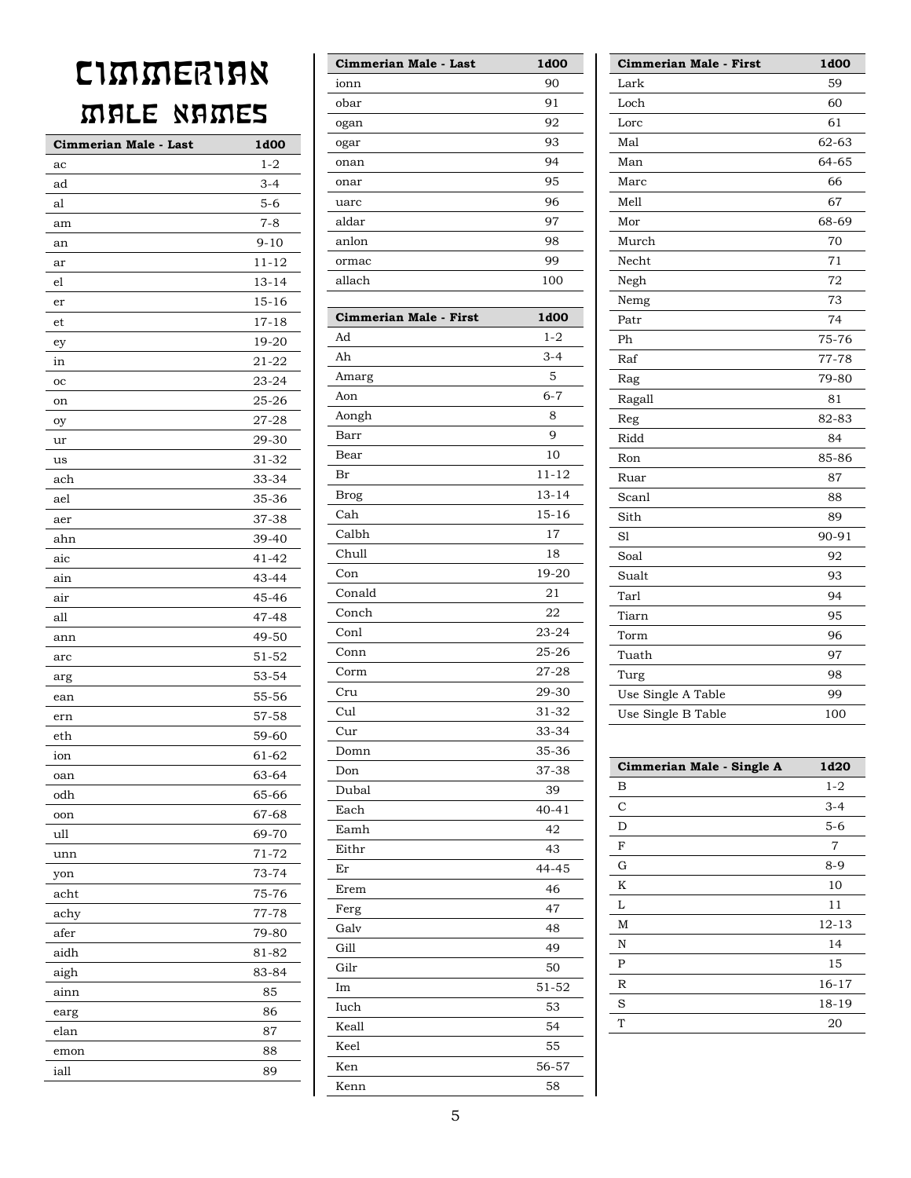## CIMMERIAN MALE NAMES

| Cimmerian Male - Last | 1d00      |
|-----------------------|-----------|
| ac                    | $1 - 2$   |
| ad                    | $3 - 4$   |
| al                    | $5 - 6$   |
| am                    | $7 - 8$   |
| an                    | 9-10      |
| ar                    | $11 - 12$ |
| el                    | 13-14     |
| er                    | 15-16     |
| et                    | 17-18     |
| ey                    | 19-20     |
| in                    | $21 - 22$ |
| oc                    | 23-24     |
| on                    | 25-26     |
| оу                    | 27-28     |
| ur                    | 29-30     |
| us                    | 31-32     |
| ach                   | 33-34     |
| ael                   | 35-36     |
| aer                   | 37-38     |
| ahn                   | 39-40     |
| aic                   | 41-42     |
| ain                   | 43-44     |
| air                   | 45-46     |
| all                   | 47-48     |
| ann                   | 49-50     |
| arc                   | 51-52     |
| arg                   | 53-54     |
| ean                   | 55-56     |
| ern                   | 57-58     |
| eth                   | 59-60     |
| ion                   | 61-62     |
| oan                   | 63-64     |
| odh                   | 65-66     |
| oon                   | 67-68     |
| ull                   | 69-70     |
| unn                   | 71-72     |
| yon                   | 73-74     |
| acht                  | 75-76     |
| achy                  | 77-78     |
| afer                  | 79-80     |
| aidh                  | 81-82     |
| aigh                  | 83-84     |
| ainn                  | 85        |
| earg                  | 86        |
| elan                  | 87        |
| emon                  | 88        |
| iall                  | 89        |
|                       |           |

| Cimmerian Male - Last  | 1d00      |
|------------------------|-----------|
| ionn                   | 90        |
| obar                   | 91        |
| ogan                   | 92        |
| ogar                   | 93        |
| onan                   | 94        |
| onar                   | 95        |
| uarc                   | 96        |
| aldar                  | 97        |
| anlon                  | 98        |
| ormac                  | 99        |
| allach                 | 100       |
|                        |           |
| Cimmerian Male - First | 1d00      |
| Ad                     | $1 - 2$   |
| Ah                     | $3 - 4$   |
| Amarg                  | 5         |
| Aon                    | $6 - 7$   |
| Aongh                  | 8         |
| Barr                   | 9         |
| Bear                   | 10        |
| Br                     | $11 - 12$ |
| <b>Brog</b>            | $13 - 14$ |
| Cah                    | $15 - 16$ |
| Calbh                  | 17        |
| Chull                  | 18        |
| Con                    | 19-20     |
| Conald                 | 21        |
| Conch                  | 22        |
| Conl                   | $23 - 24$ |
| Conn                   | 25-26     |
| Corm                   | $27 - 28$ |
| Cru                    | 29-30     |
| Cul                    | 31-32     |
| Cur                    | 33-34     |
| Domn                   | 35-36     |
| Don                    | 37-38     |
| Dubal                  | 39        |
| Each                   | $40 - 41$ |
| Eamh                   | 42        |
| Eithr                  | 43        |
| Er                     | 44-45     |
| Erem                   | 46        |
| Ferg                   | 47        |
| Galv                   | 48        |
| Gill                   | 49        |
| Gilr                   | 50        |
| Im                     | 51-52     |
| Iuch                   | 53        |
| Keall                  | 54        |
| Keel                   | 55        |
| Ken                    | 56-57     |
| Van <sub>n</sub>       | 58        |

| Cimmerian Male - First | 1d00  |
|------------------------|-------|
| Lark                   | 59    |
| Loch                   | 60    |
| Lorc                   | 61    |
| Mal                    | 62-63 |
| Man                    | 64-65 |
| Marc                   | 66    |
| Mell                   | 67    |
| Mor                    | 68-69 |
| Murch                  | 70    |
| Necht                  | 71    |
| Negh                   | 72    |
| Nemg                   | 73    |
| Patr                   | 74    |
| Ph                     | 75-76 |
| Raf                    | 77-78 |
| Rag                    | 79-80 |
| Ragall                 | 81    |
| Reg                    | 82-83 |
| Ridd                   | 84    |
| Ron                    | 85-86 |
| Ruar                   | 87    |
| Scanl                  | 88    |
| Sith                   | 89    |
| S1                     | 90-91 |
| Soal                   | 92    |
| Sualt                  | 93    |
| Tarl                   | 94    |
| Tiarn                  | 95    |
| Torm                   | 96    |
| Tuath                  | 97    |
| Turg                   | 98    |
| Use Single A Table     | 99    |
| Use Single B Table     | 100   |

| Cimmerian Male - Single A | 1d20      |
|---------------------------|-----------|
| B                         | $1 - 2$   |
| C                         | $3 - 4$   |
| D                         | $5 - 6$   |
| F                         | 7         |
| G                         | $8-9$     |
| K                         | 10        |
| L                         | 11        |
| M                         | $12 - 13$ |
| N                         | 14        |
| P                         | 15        |
| $\mathbb R$               | $16 - 17$ |
| S                         | 18-19     |
| T                         | 20        |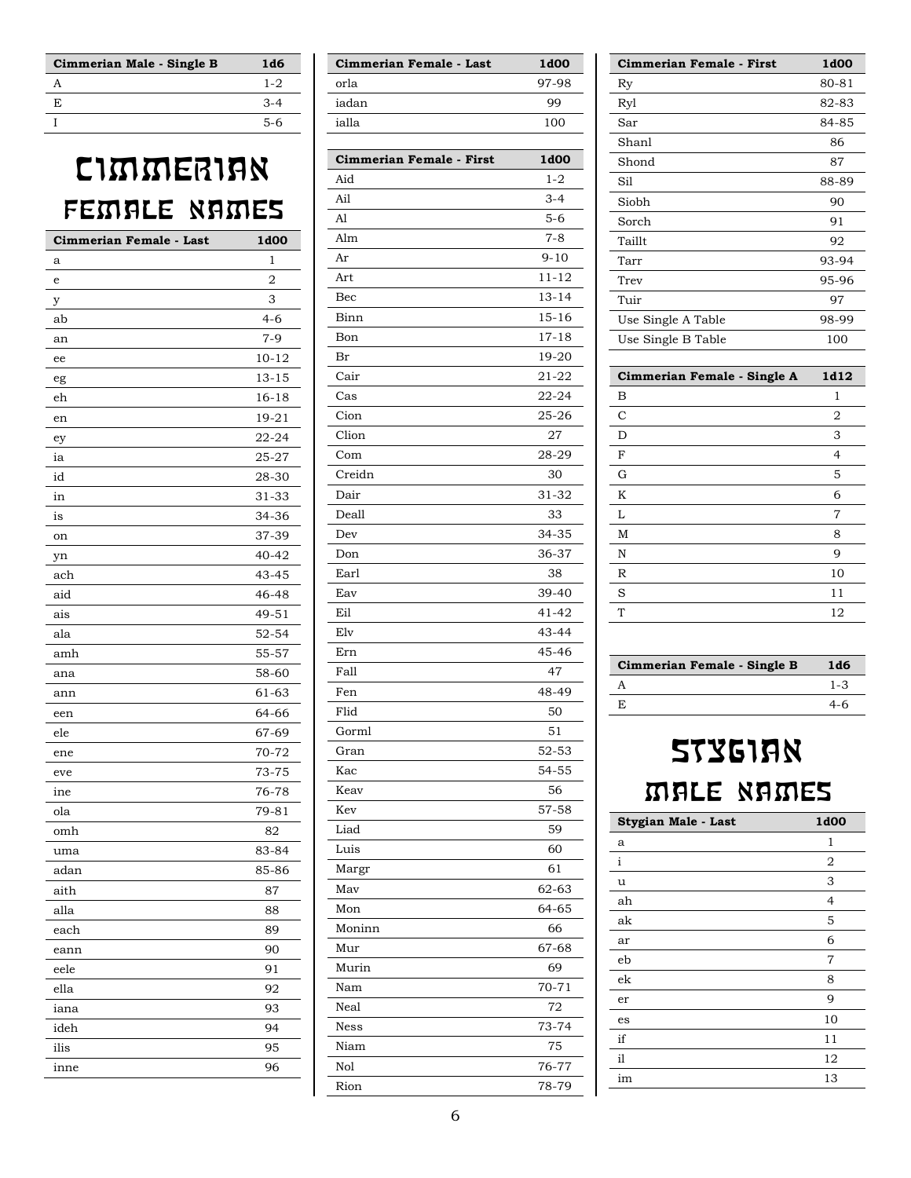| Cimmerian Male - Single B | 1d6     |
|---------------------------|---------|
|                           | $1 - 2$ |
| F.                        | $3-4$   |
|                           | $5-6$   |

#### CIMMERIAN FEMALE NAMES

| 1<br>a<br>2<br>e<br>3<br>y<br>4-6<br>ab<br>$7-9$<br>an<br>$10 - 12$<br>ee<br>$13 - 15$<br>eg<br>eh<br>16-18<br>$19 - 21$<br>en<br>$22 - 24$<br>ey<br>25-27<br>ia<br>id<br>28-30<br>31-33<br>in<br>34-36<br>is<br>37-39<br>on<br>$40 - 42$<br>yn<br>ach<br>43-45<br>aid<br>46-48<br>49-51<br>ais<br>$52 - 54$<br>ala<br>55-57<br>amh<br>58-60<br>ana<br>61-63<br>ann<br>64-66<br>een<br>67-69<br>ele<br>70-72<br>ene<br>73-75<br>eve<br>76-78<br>ine<br>$79 - 81$<br>ola<br>omh<br>82<br>83-84<br>uma<br>85-86<br>adan<br>87<br>aith<br>88<br>alla<br>each<br>89<br>90<br>eann<br>91<br>eele<br>ella<br>92<br>93<br>iana<br>ideh<br>94<br>ilis<br>95<br>96<br>inne | Cimmerian Female - Last | 1d00 |
|-------------------------------------------------------------------------------------------------------------------------------------------------------------------------------------------------------------------------------------------------------------------------------------------------------------------------------------------------------------------------------------------------------------------------------------------------------------------------------------------------------------------------------------------------------------------------------------------------------------------------------------------------------------------|-------------------------|------|
|                                                                                                                                                                                                                                                                                                                                                                                                                                                                                                                                                                                                                                                                   |                         |      |
|                                                                                                                                                                                                                                                                                                                                                                                                                                                                                                                                                                                                                                                                   |                         |      |
|                                                                                                                                                                                                                                                                                                                                                                                                                                                                                                                                                                                                                                                                   |                         |      |
|                                                                                                                                                                                                                                                                                                                                                                                                                                                                                                                                                                                                                                                                   |                         |      |
|                                                                                                                                                                                                                                                                                                                                                                                                                                                                                                                                                                                                                                                                   |                         |      |
|                                                                                                                                                                                                                                                                                                                                                                                                                                                                                                                                                                                                                                                                   |                         |      |
|                                                                                                                                                                                                                                                                                                                                                                                                                                                                                                                                                                                                                                                                   |                         |      |
|                                                                                                                                                                                                                                                                                                                                                                                                                                                                                                                                                                                                                                                                   |                         |      |
|                                                                                                                                                                                                                                                                                                                                                                                                                                                                                                                                                                                                                                                                   |                         |      |
|                                                                                                                                                                                                                                                                                                                                                                                                                                                                                                                                                                                                                                                                   |                         |      |
|                                                                                                                                                                                                                                                                                                                                                                                                                                                                                                                                                                                                                                                                   |                         |      |
|                                                                                                                                                                                                                                                                                                                                                                                                                                                                                                                                                                                                                                                                   |                         |      |
|                                                                                                                                                                                                                                                                                                                                                                                                                                                                                                                                                                                                                                                                   |                         |      |
|                                                                                                                                                                                                                                                                                                                                                                                                                                                                                                                                                                                                                                                                   |                         |      |
|                                                                                                                                                                                                                                                                                                                                                                                                                                                                                                                                                                                                                                                                   |                         |      |
|                                                                                                                                                                                                                                                                                                                                                                                                                                                                                                                                                                                                                                                                   |                         |      |
|                                                                                                                                                                                                                                                                                                                                                                                                                                                                                                                                                                                                                                                                   |                         |      |
|                                                                                                                                                                                                                                                                                                                                                                                                                                                                                                                                                                                                                                                                   |                         |      |
|                                                                                                                                                                                                                                                                                                                                                                                                                                                                                                                                                                                                                                                                   |                         |      |
|                                                                                                                                                                                                                                                                                                                                                                                                                                                                                                                                                                                                                                                                   |                         |      |
|                                                                                                                                                                                                                                                                                                                                                                                                                                                                                                                                                                                                                                                                   |                         |      |
|                                                                                                                                                                                                                                                                                                                                                                                                                                                                                                                                                                                                                                                                   |                         |      |
|                                                                                                                                                                                                                                                                                                                                                                                                                                                                                                                                                                                                                                                                   |                         |      |
|                                                                                                                                                                                                                                                                                                                                                                                                                                                                                                                                                                                                                                                                   |                         |      |
|                                                                                                                                                                                                                                                                                                                                                                                                                                                                                                                                                                                                                                                                   |                         |      |
|                                                                                                                                                                                                                                                                                                                                                                                                                                                                                                                                                                                                                                                                   |                         |      |
|                                                                                                                                                                                                                                                                                                                                                                                                                                                                                                                                                                                                                                                                   |                         |      |
|                                                                                                                                                                                                                                                                                                                                                                                                                                                                                                                                                                                                                                                                   |                         |      |
|                                                                                                                                                                                                                                                                                                                                                                                                                                                                                                                                                                                                                                                                   |                         |      |
|                                                                                                                                                                                                                                                                                                                                                                                                                                                                                                                                                                                                                                                                   |                         |      |
|                                                                                                                                                                                                                                                                                                                                                                                                                                                                                                                                                                                                                                                                   |                         |      |
|                                                                                                                                                                                                                                                                                                                                                                                                                                                                                                                                                                                                                                                                   |                         |      |
|                                                                                                                                                                                                                                                                                                                                                                                                                                                                                                                                                                                                                                                                   |                         |      |
|                                                                                                                                                                                                                                                                                                                                                                                                                                                                                                                                                                                                                                                                   |                         |      |
|                                                                                                                                                                                                                                                                                                                                                                                                                                                                                                                                                                                                                                                                   |                         |      |
|                                                                                                                                                                                                                                                                                                                                                                                                                                                                                                                                                                                                                                                                   |                         |      |
|                                                                                                                                                                                                                                                                                                                                                                                                                                                                                                                                                                                                                                                                   |                         |      |
|                                                                                                                                                                                                                                                                                                                                                                                                                                                                                                                                                                                                                                                                   |                         |      |
|                                                                                                                                                                                                                                                                                                                                                                                                                                                                                                                                                                                                                                                                   |                         |      |
|                                                                                                                                                                                                                                                                                                                                                                                                                                                                                                                                                                                                                                                                   |                         |      |
|                                                                                                                                                                                                                                                                                                                                                                                                                                                                                                                                                                                                                                                                   |                         |      |
|                                                                                                                                                                                                                                                                                                                                                                                                                                                                                                                                                                                                                                                                   |                         |      |

| Cimmerian Female - Last | 1d <sub>00</sub> |
|-------------------------|------------------|
| orla                    | 97-98            |
| iadan                   | qq               |
| ialla                   | 100              |
|                         |                  |

| Cimmerian Female - First | 1d00      |
|--------------------------|-----------|
| Aid                      | $1 - 2$   |
| Ail                      | $3 - 4$   |
| Al                       | $5 - 6$   |
| Alm                      | 7-8       |
| Ar                       | $9 - 10$  |
| Art                      | 11-12     |
| Bec                      | $13 - 14$ |
| Binn                     | 15-16     |
| Bon                      | 17-18     |
| Br                       | 19-20     |
| Cair                     | 21-22     |
| Cas                      | $22 - 24$ |
| Cion                     | 25-26     |
| Clion                    | 27        |
| Com                      | 28-29     |
| Creidn                   | 30        |
| Dair                     | 31-32     |
| Deall                    | 33        |
| Dev                      | 34-35     |
| Don                      | 36-37     |
| Earl                     | 38        |
| Eav                      | 39-40     |
| Eil                      | 41-42     |
| Elv                      | 43-44     |
| Ern                      | 45-46     |
| Fall                     | 47        |
| Fen                      | 48-49     |
| Flid                     | 50        |
| Gorml                    | 51        |
| Gran                     | 52-53     |
| Kac                      | 54-55     |
| Keav                     | 56        |
| Kev                      | 57-58     |
| Liad                     | 59        |
| Luis                     | 60        |
| Margr                    | 61        |
| May                      | 62-63     |
| Mon                      | 64-65     |
| Moninn                   | 66        |
| Mur                      | 67-68     |
| Murin                    | 69        |
| Nam                      | $70 - 71$ |
| Neal                     | 72        |
| <b>Ness</b>              | 73-74     |
| Niam                     | 75        |
| Nol                      | 76-77     |
| Rion                     | 78-79     |
|                          |           |

| <b>Cimmerian Female - First</b> | <b>1d00</b> |
|---------------------------------|-------------|
| Ry                              | 80-81       |
| Ryl                             | 82-83       |
| Sar                             | 84-85       |
| Shanl                           | 86          |
| Shond                           | 87          |
| Sil                             | 88-89       |
| Siobh                           | 90          |
| Sorch                           | 91          |
| Taillt                          | 92          |
| Tarr                            | 93-94       |
| Trev                            | 95-96       |
| Tuir                            | 97          |
| Use Single A Table              | 98-99       |
| Use Single B Table              | 100         |
|                                 |             |

| Cimmerian Female - Single A | 1d12 |
|-----------------------------|------|
| B                           | 1    |
| $\mathsf{C}$                | 2    |
| D                           | 3    |
| $\rm F$                     | 4    |
| G                           | 5    |
| K                           | 6    |
| L                           | 7    |
| M                           | 8    |
| N                           | 9    |
| R                           | 10   |
| S                           | 11   |
| T                           | 12   |
|                             |      |

| Cimmerian Female - Single B | 1d6     |
|-----------------------------|---------|
|                             | $1 - 3$ |
| F.                          | 4-6     |

### **STYGIAN** MALE NAMES

| Stygian Male - Last | 1d00           |
|---------------------|----------------|
| a                   | 1              |
| i                   | 2              |
| u                   | 3              |
| ah                  | $\overline{4}$ |
| ak                  | 5              |
| ar                  | 6              |
| eb                  | 7              |
| ek                  | 8              |
| er                  | 9              |
| es                  | 10             |
| if                  | 11             |
| il                  | 12             |
| im                  | 13             |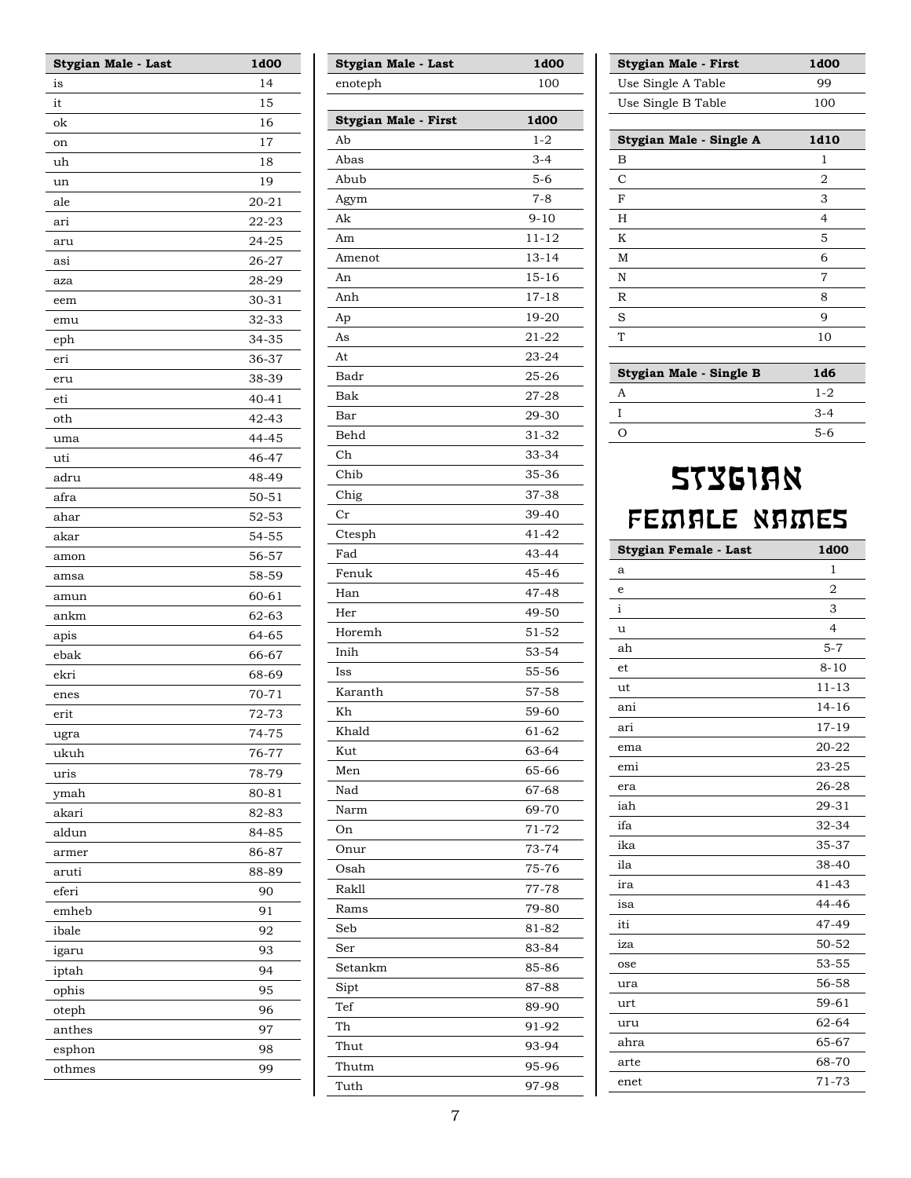| Stygian Male - Last | 1d00      |
|---------------------|-----------|
| is                  | 14        |
| it                  | 15        |
| ok                  | 16        |
| on                  | 17        |
| uh                  | 18        |
| un                  | 19        |
| ale                 | $20 - 21$ |
| ari                 | 22-23     |
| aru                 | 24-25     |
| asi                 | 26-27     |
| aza                 | 28-29     |
| eem                 | 30-31     |
| emu                 | 32-33     |
| eph                 | 34-35     |
| eri                 | 36-37     |
| eru                 | 38-39     |
| eti                 | $40 - 41$ |
| oth                 | 42-43     |
| uma                 | 44-45     |
| uti                 | 46-47     |
| adru                | 48-49     |
| afra                | 50-51     |
| ahar                | 52-53     |
| akar                | 54-55     |
| amon                | 56-57     |
| amsa                | 58-59     |
| amun                | 60-61     |
| ankm                | 62-63     |
| apis                | 64-65     |
| ebak                | 66-67     |
| ekri                | 68-69     |
| enes                | $70 - 71$ |
| erit                | 72-73     |
| ugra                | 74-75     |
| ukuh                | 76-77     |
| uris                | 78-79     |
| ymah                | 80-81     |
| akari               | 82-83     |
| aldun               | 84-85     |
| armer               | 86-87     |
| aruti               | 88-89     |
| eferi               | 90        |
| emheb               | 91        |
| ibale               | 92        |
| igaru               | 93        |
| iptah               | 94        |
| ophis               | 95        |
| oteph               | 96        |
| anthes              | 97        |
| esphon              | 98        |
| othmes              | 99        |
|                     |           |

| Stygian Male - Last  | 1d00      |
|----------------------|-----------|
| enoteph              | 100       |
|                      |           |
| Stygian Male - First | 1d00      |
| Ab                   | $1 - 2$   |
| Abas                 | $3 - 4$   |
| Abub                 | $5 - 6$   |
| Agym                 | $7 - 8$   |
| Ak                   | $9 - 10$  |
| Am                   | $11 - 12$ |
| Amenot               | $13 - 14$ |
| An                   | $15 - 16$ |
| Anh                  | $17 - 18$ |
| Ap                   | 19-20     |
| As                   | $21 - 22$ |
| At                   | $23 - 24$ |
| Badr                 | $25 - 26$ |
| Bak                  | 27-28     |
| Bar                  | 29-30     |
| Behd                 | 31-32     |
| Ch                   | 33-34     |
| Chib                 | 35-36     |
| Chig                 | 37-38     |
| Cr                   | 39-40     |
| Ctesph               | 41-42     |
| Fad                  | 43-44     |
| Fenuk                | 45-46     |
| Han                  | 47-48     |
| Her                  | 49-50     |
| Horemh               | 51-52     |
| Inih                 | 53-54     |
| Iss                  | 55-56     |
| Karanth              | 57-58     |
| Kh                   | 59-60     |
| Khald                | 61-62     |
| Kut                  | 63-64     |
| Men                  | 65-66     |
| Nad                  | 67-68     |
| Narm                 | 69-70     |
| On                   | 71-72     |
| Onur                 | 73-74     |
| Osah                 | 75-76     |
| <b>Rakll</b>         | 77-78     |
| Rams                 | 79-80     |
| Seb                  | 81-82     |
| Ser                  | 83-84     |
| Setankm              | 85-86     |
| Sipt                 | 87-88     |
| Tef                  | 89-90     |
| Th                   | 91-92     |
| Thut                 | 93-94     |
| Thutm                | 95-96     |
| Tuth                 | 97-98     |
|                      |           |

| Stygian Male - First    | 1d <sub>00</sub> |
|-------------------------|------------------|
| Use Single A Table      | 99               |
| Use Single B Table      | 100              |
|                         |                  |
| Stygian Male - Single A | 1d10             |
| в                       | 1                |
| C                       | 2                |
| F                       | 3                |
| H                       | 4                |
| Κ                       | 5                |
| M                       | 6                |
| N                       | 7                |
| R                       | 8                |
| S                       | 9                |
| T                       | 10               |
|                         |                  |

| Stygian Male - Single B | 1d6     |
|-------------------------|---------|
|                         | $1 - 2$ |
|                         | $3-4$   |
|                         | $5-6$   |

# **STYGIAN** FEMALE NAMES

| Stygian Female - Last | 1d00           |
|-----------------------|----------------|
| a                     | 1              |
| e                     | $\overline{2}$ |
| $\mathbf{i}$          | 3              |
| u                     | $\overline{4}$ |
| ah                    | $5 - 7$        |
| et                    | $8 - 10$       |
| ut                    | $11 - 13$      |
| ani                   | $14 - 16$      |
| ari                   | $17 - 19$      |
| ema                   | 20-22          |
| emi                   | 23-25          |
| era                   | 26-28          |
| iah                   | 29-31          |
| ifa                   | 32-34          |
| ika                   | 35-37          |
| ila                   | 38-40          |
| ira                   | $41 - 43$      |
| isa                   | 44-46          |
| iti                   | 47-49          |
| iza                   | 50-52          |
| ose                   | 53-55          |
| ura                   | 56-58          |
| urt                   | 59-61          |
| uru                   | 62-64          |
| ahra                  | 65-67          |
| arte                  | 68-70          |
| enet                  | 71-73          |